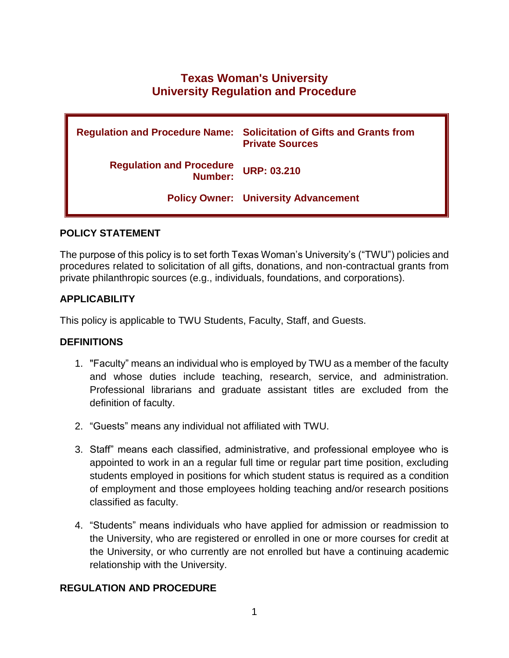# **Texas Woman's University University Regulation and Procedure**

|                                            | <b>Regulation and Procedure Name: Solicitation of Gifts and Grants from</b><br><b>Private Sources</b> |
|--------------------------------------------|-------------------------------------------------------------------------------------------------------|
| <b>Regulation and Procedure</b><br>Number: | <b>URP: 03.210</b>                                                                                    |
|                                            | <b>Policy Owner: University Advancement</b>                                                           |

### **POLICY STATEMENT**

The purpose of this policy is to set forth Texas Woman's University's ("TWU") policies and procedures related to solicitation of all gifts, donations, and non-contractual grants from private philanthropic sources (e.g., individuals, foundations, and corporations).

# **APPLICABILITY**

This policy is applicable to TWU Students, Faculty, Staff, and Guests.

# **DEFINITIONS**

- 1. "Faculty" means an individual who is employed by TWU as a member of the faculty and whose duties include teaching, research, service, and administration. Professional librarians and graduate assistant titles are excluded from the definition of faculty.
- 2. "Guests" means any individual not affiliated with TWU.
- 3. Staff" means each classified, administrative, and professional employee who is appointed to work in an a regular full time or regular part time position, excluding students employed in positions for which student status is required as a condition of employment and those employees holding teaching and/or research positions classified as faculty.
- 4. "Students" means individuals who have applied for admission or readmission to the University, who are registered or enrolled in one or more courses for credit at the University, or who currently are not enrolled but have a continuing academic relationship with the University.

# **REGULATION AND PROCEDURE**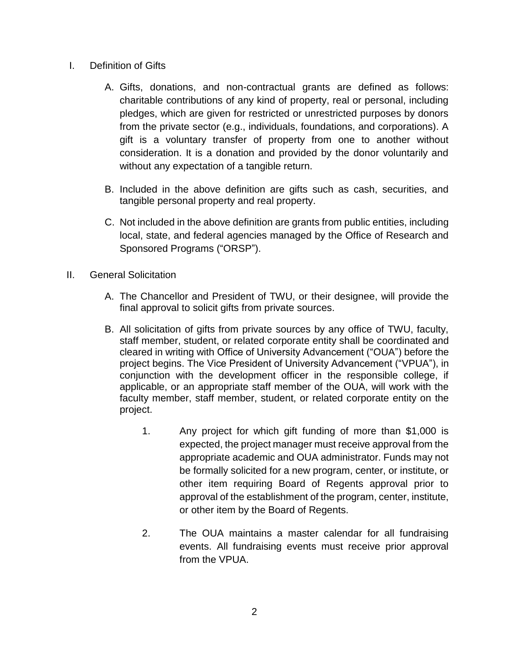- I. Definition of Gifts
	- A. Gifts, donations, and non-contractual grants are defined as follows: charitable contributions of any kind of property, real or personal, including pledges, which are given for restricted or unrestricted purposes by donors from the private sector (e.g., individuals, foundations, and corporations). A gift is a voluntary transfer of property from one to another without consideration. It is a donation and provided by the donor voluntarily and without any expectation of a tangible return.
	- B. Included in the above definition are gifts such as cash, securities, and tangible personal property and real property.
	- C. Not included in the above definition are grants from public entities, including local, state, and federal agencies managed by the Office of Research and Sponsored Programs ("ORSP").
- II. General Solicitation
	- A. The Chancellor and President of TWU, or their designee, will provide the final approval to solicit gifts from private sources.
	- B. All solicitation of gifts from private sources by any office of TWU, faculty, staff member, student, or related corporate entity shall be coordinated and cleared in writing with Office of University Advancement ("OUA") before the project begins. The Vice President of University Advancement ("VPUA"), in conjunction with the development officer in the responsible college, if applicable, or an appropriate staff member of the OUA, will work with the faculty member, staff member, student, or related corporate entity on the project.
		- 1. Any project for which gift funding of more than \$1,000 is expected, the project manager must receive approval from the appropriate academic and OUA administrator. Funds may not be formally solicited for a new program, center, or institute, or other item requiring Board of Regents approval prior to approval of the establishment of the program, center, institute, or other item by the Board of Regents.
		- 2. The OUA maintains a master calendar for all fundraising events. All fundraising events must receive prior approval from the VPUA.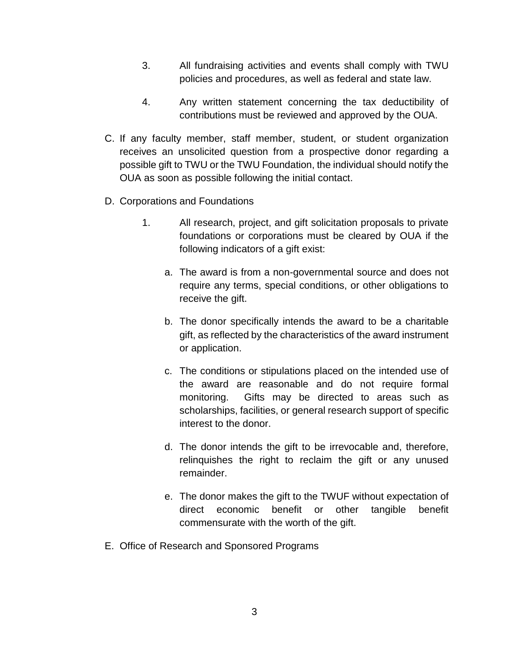- 3. All fundraising activities and events shall comply with TWU policies and procedures, as well as federal and state law.
- 4. Any written statement concerning the tax deductibility of contributions must be reviewed and approved by the OUA.
- C. If any faculty member, staff member, student, or student organization receives an unsolicited question from a prospective donor regarding a possible gift to TWU or the TWU Foundation, the individual should notify the OUA as soon as possible following the initial contact.
- D. Corporations and Foundations
	- 1. All research, project, and gift solicitation proposals to private foundations or corporations must be cleared by OUA if the following indicators of a gift exist:
		- a. The award is from a non-governmental source and does not require any terms, special conditions, or other obligations to receive the gift.
		- b. The donor specifically intends the award to be a charitable gift, as reflected by the characteristics of the award instrument or application.
		- c. The conditions or stipulations placed on the intended use of the award are reasonable and do not require formal monitoring. Gifts may be directed to areas such as scholarships, facilities, or general research support of specific interest to the donor.
		- d. The donor intends the gift to be irrevocable and, therefore, relinquishes the right to reclaim the gift or any unused remainder.
		- e. The donor makes the gift to the TWUF without expectation of direct economic benefit or other tangible benefit commensurate with the worth of the gift.
- E. Office of Research and Sponsored Programs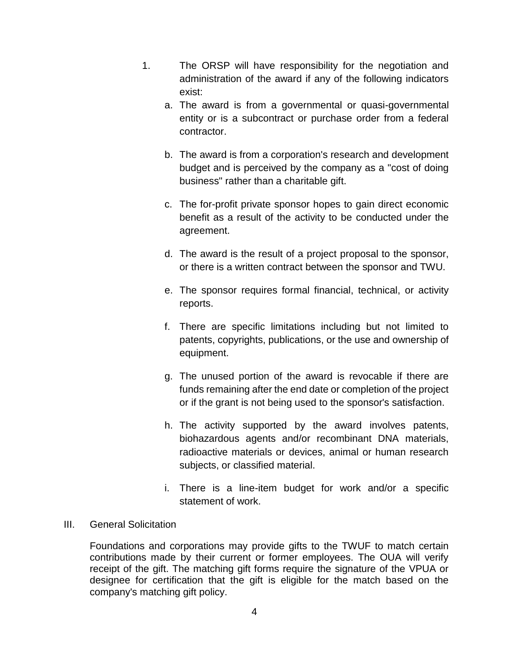- 1. The ORSP will have responsibility for the negotiation and administration of the award if any of the following indicators exist:
	- a. The award is from a governmental or quasi-governmental entity or is a subcontract or purchase order from a federal contractor.
	- b. The award is from a corporation's research and development budget and is perceived by the company as a "cost of doing business" rather than a charitable gift.
	- c. The for-profit private sponsor hopes to gain direct economic benefit as a result of the activity to be conducted under the agreement.
	- d. The award is the result of a project proposal to the sponsor, or there is a written contract between the sponsor and TWU.
	- e. The sponsor requires formal financial, technical, or activity reports.
	- f. There are specific limitations including but not limited to patents, copyrights, publications, or the use and ownership of equipment.
	- g. The unused portion of the award is revocable if there are funds remaining after the end date or completion of the project or if the grant is not being used to the sponsor's satisfaction.
	- h. The activity supported by the award involves patents, biohazardous agents and/or recombinant DNA materials, radioactive materials or devices, animal or human research subjects, or classified material.
	- i. There is a line-item budget for work and/or a specific statement of work.

#### III. General Solicitation

Foundations and corporations may provide gifts to the TWUF to match certain contributions made by their current or former employees. The OUA will verify receipt of the gift. The matching gift forms require the signature of the VPUA or designee for certification that the gift is eligible for the match based on the company's matching gift policy.